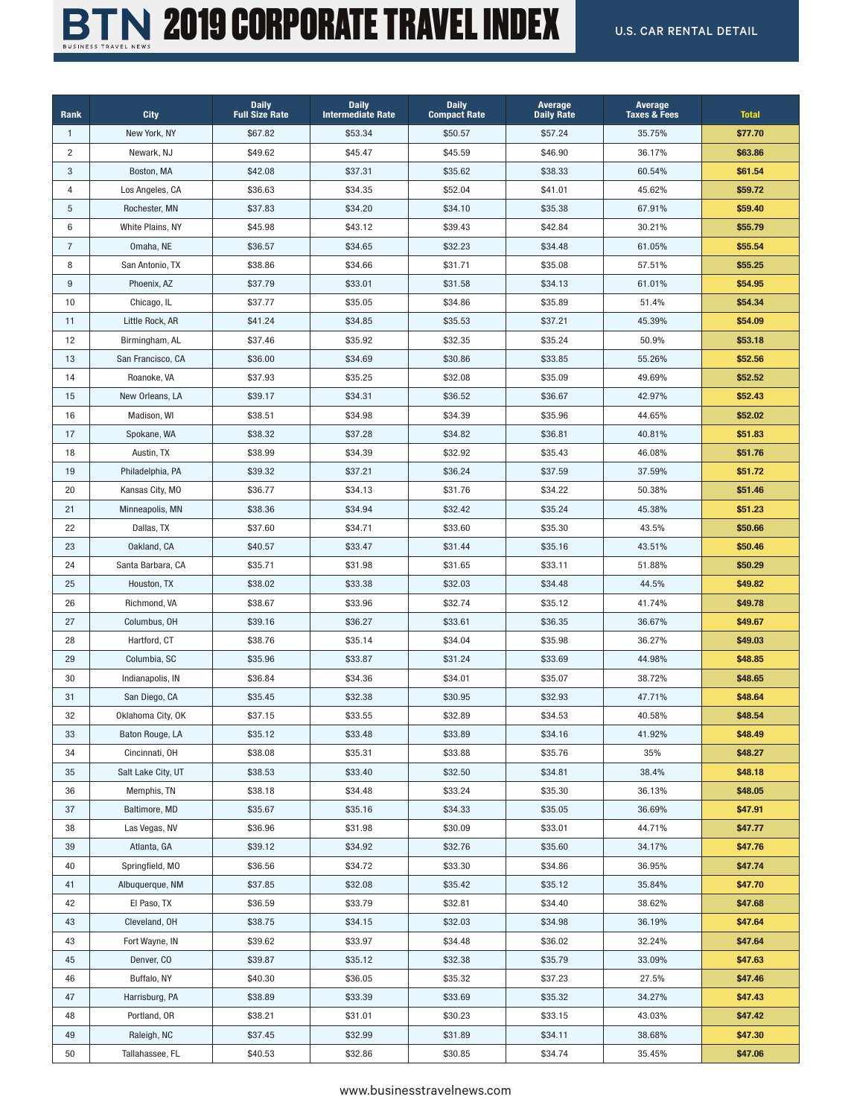

## BTN 2019 CORPORATE TRAVEL INDEX U.S. CAR RENTAL DETAIL

| Rank           | <b>City</b>        | <b>Daily</b><br><b>Full Size Rate</b> | <b>Daily</b><br><b>Intermediate Rate</b> | <b>Daily</b><br><b>Compact Rate</b> | Average<br><b>Daily Rate</b> | Average<br><b>Taxes &amp; Fees</b> | <b>Total</b> |
|----------------|--------------------|---------------------------------------|------------------------------------------|-------------------------------------|------------------------------|------------------------------------|--------------|
| $\mathbf{1}$   | New York, NY       | \$67.82                               | \$53.34                                  | \$50.57                             | \$57.24                      | 35.75%                             | \$77.70      |
| $\overline{c}$ | Newark, NJ         | \$49.62                               | \$45.47                                  | \$45.59                             | \$46.90                      | 36.17%                             | \$63.86      |
| $\mathbf{3}$   | Boston, MA         | \$42.08                               | \$37.31                                  | \$35.62                             | \$38.33                      | 60.54%                             | \$61.54      |
| 4              | Los Angeles, CA    | \$36.63                               | \$34.35                                  | \$52.04                             | \$41.01                      | 45.62%                             | \$59.72      |
| 5              | Rochester, MN      | \$37.83                               | \$34.20                                  | \$34.10                             | \$35.38                      | 67.91%                             | \$59.40      |
| 6              | White Plains, NY   | \$45.98                               | \$43.12                                  | \$39.43                             | \$42.84                      | 30.21%                             | \$55.79      |
| $\overline{7}$ | Omaha, NE          | \$36.57                               | \$34.65                                  | \$32.23                             | \$34.48                      | 61.05%                             | \$55.54      |
| 8              | San Antonio, TX    | \$38.86                               | \$34.66                                  | \$31.71                             | \$35.08                      | 57.51%                             | \$55.25      |
| 9              | Phoenix, AZ        | \$37.79                               | \$33.01                                  | \$31.58                             | \$34.13                      | 61.01%                             | \$54.95      |
| 10             | Chicago, IL        | \$37.77                               | \$35.05                                  | \$34.86                             | \$35.89                      | 51.4%                              | \$54.34      |
| 11             | Little Rock, AR    | \$41.24                               | \$34.85                                  | \$35.53                             | \$37.21                      | 45.39%                             | \$54.09      |
| 12             | Birmingham, AL     | \$37.46                               | \$35.92                                  | \$32.35                             | \$35.24                      | 50.9%                              | \$53.18      |
| 13             | San Francisco, CA  | \$36.00                               | \$34.69                                  | \$30.86                             | \$33.85                      | 55.26%                             | \$52.56      |
| 14             | Roanoke, VA        | \$37.93                               | \$35.25                                  | \$32.08                             | \$35.09                      | 49.69%                             | \$52.52      |
| 15             | New Orleans, LA    | \$39.17                               | \$34.31                                  | \$36.52                             | \$36.67                      | 42.97%                             | \$52.43      |
| 16             | Madison, WI        | \$38.51                               | \$34.98                                  | \$34.39                             | \$35.96                      | 44.65%                             | \$52.02      |
| 17             | Spokane, WA        | \$38.32                               | \$37.28                                  | \$34.82                             | \$36.81                      | 40.81%                             | \$51.83      |
| 18             | Austin, TX         | \$38.99                               | \$34.39                                  | \$32.92                             | \$35.43                      | 46.08%                             | \$51.76      |
| 19             | Philadelphia, PA   | \$39.32                               | \$37.21                                  | \$36.24                             | \$37.59                      | 37.59%                             | \$51.72      |
| 20             | Kansas City, MO    | \$36.77                               | \$34.13                                  | \$31.76                             | \$34.22                      | 50.38%                             | \$51.46      |
| 21             | Minneapolis, MN    | \$38.36                               | \$34.94                                  | \$32.42                             | \$35.24                      | 45.38%                             | \$51.23      |
| 22             | Dallas, TX         | \$37.60                               | \$34.71                                  | \$33.60                             | \$35.30                      | 43.5%                              | \$50.66      |
| 23             | Oakland, CA        | \$40.57                               | \$33.47                                  | \$31.44                             | \$35.16                      | 43.51%                             | \$50.46      |
| 24             | Santa Barbara, CA  | \$35.71                               | \$31.98                                  | \$31.65                             | \$33.11                      | 51.88%                             | \$50.29      |
| 25             | Houston, TX        | \$38.02                               | \$33.38                                  | \$32.03                             | \$34.48                      | 44.5%                              | \$49.82      |
| 26             | Richmond, VA       | \$38.67                               | \$33.96                                  | \$32.74                             | \$35.12                      | 41.74%                             | \$49.78      |
| 27             | Columbus, OH       | \$39.16                               | \$36.27                                  | \$33.61                             | \$36.35                      | 36.67%                             | \$49.67      |
| 28             | Hartford, CT       | \$38.76                               | \$35.14                                  | \$34.04                             | \$35.98                      | 36.27%                             | \$49.03      |
| 29             | Columbia, SC       | \$35.96                               | \$33.87                                  | \$31.24                             | \$33.69                      | 44.98%                             | \$48.85      |
| 30             | Indianapolis, IN   | \$36.84                               | \$34.36                                  | \$34.01                             | \$35.07                      | 38.72%                             | \$48.65      |
| 31             | San Diego, CA      | \$35.45                               | \$32.38                                  | \$30.95                             | \$32.93                      | 47.71%                             | \$48.64      |
| 32             | Oklahoma City, OK  | \$37.15                               | \$33.55                                  | \$32.89                             | \$34.53                      | 40.58%                             | \$48.54      |
| 33             | Baton Rouge, LA    | \$35.12                               | \$33.48                                  | \$33.89                             | \$34.16                      | 41.92%                             | \$48.49      |
| 34             | Cincinnati, OH     | \$38.08                               | \$35.31                                  | \$33.88                             | \$35.76                      | 35%                                | \$48.27      |
| 35             | Salt Lake City, UT | \$38.53                               | \$33.40                                  | \$32.50                             | \$34.81                      | 38.4%                              | \$48.18      |
| 36             | Memphis, TN        | \$38.18                               | \$34.48                                  | \$33.24                             | \$35.30                      | 36.13%                             | \$48.05      |
| 37             | Baltimore, MD      | \$35.67                               | \$35.16                                  | \$34.33                             | \$35.05                      | 36.69%                             | \$47.91      |
| 38             | Las Vegas, NV      | \$36.96                               | \$31.98                                  | \$30.09                             | \$33.01                      | 44.71%                             | \$47.77      |
| 39             | Atlanta, GA        | \$39.12                               | \$34.92                                  | \$32.76                             | \$35.60                      | 34.17%                             | \$47.76      |
| 40             | Springfield, MO    | \$36.56                               | \$34.72                                  | \$33.30                             | \$34.86                      | 36.95%                             | \$47.74      |
| 41             | Albuquerque, NM    | \$37.85                               | \$32.08                                  | \$35.42                             | \$35.12                      | 35.84%                             | \$47.70      |
| 42             | El Paso, TX        | \$36.59                               | \$33.79                                  | \$32.81                             | \$34.40                      | 38.62%                             | \$47.68      |
| 43             | Cleveland, OH      | \$38.75                               | \$34.15                                  | \$32.03                             | \$34.98                      | 36.19%                             | \$47.64      |
| 43             | Fort Wayne, IN     | \$39.62                               | \$33.97                                  | \$34.48                             | \$36.02                      | 32.24%                             | \$47.64      |
| 45             | Denver, CO         | \$39.87                               | \$35.12                                  | \$32.38                             | \$35.79                      | 33.09%                             | \$47.63      |
| 46             | Buffalo, NY        | \$40.30                               | \$36.05                                  | \$35.32                             | \$37.23                      | 27.5%                              | \$47.46      |
| 47             | Harrisburg, PA     | \$38.89                               | \$33.39                                  | \$33.69                             | \$35.32                      | 34.27%                             | \$47.43      |
| 48             | Portland, OR       | \$38.21                               | \$31.01                                  | \$30.23                             | \$33.15                      | 43.03%                             | \$47.42      |
| 49             | Raleigh, NC        | \$37.45                               | \$32.99                                  | \$31.89                             | \$34.11                      | 38.68%                             | \$47.30      |
| 50             | Tallahassee, FL    | \$40.53                               | \$32.86                                  | \$30.85                             | \$34.74                      | 35.45%                             | \$47.06      |